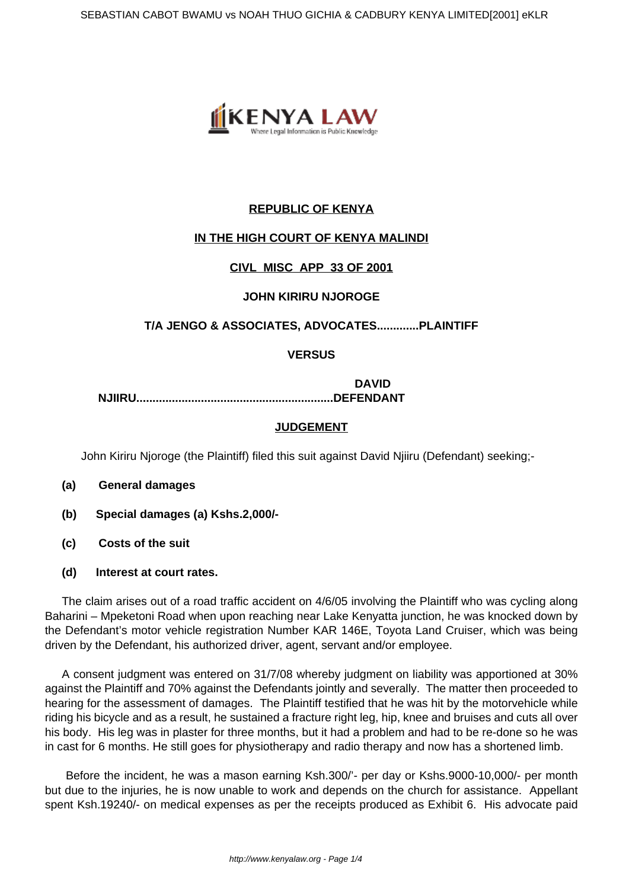

# **REPUBLIC OF KENYA**

# **IN THE HIGH COURT OF KENYA MALINDI**

## **CIVL MISC APP 33 OF 2001**

#### **JOHN KIRIRU NJOROGE**

## **T/A JENGO & ASSOCIATES, ADVOCATES.............PLAINTIFF**

## **VERSUS**

**DAVID NJIIRU.............................................................DEFENDANT**

#### **JUDGEMENT**

John Kiriru Njoroge (the Plaintiff) filed this suit against David Njiiru (Defendant) seeking;-

- **(a) General damages**
- **(b) Special damages (a) Kshs.2,000/-**
- **(c) Costs of the suit**
- **(d) Interest at court rates.**

The claim arises out of a road traffic accident on 4/6/05 involving the Plaintiff who was cycling along Baharini – Mpeketoni Road when upon reaching near Lake Kenyatta junction, he was knocked down by the Defendant's motor vehicle registration Number KAR 146E, Toyota Land Cruiser, which was being driven by the Defendant, his authorized driver, agent, servant and/or employee.

A consent judgment was entered on 31/7/08 whereby judgment on liability was apportioned at 30% against the Plaintiff and 70% against the Defendants jointly and severally. The matter then proceeded to hearing for the assessment of damages. The Plaintiff testified that he was hit by the motorvehicle while riding his bicycle and as a result, he sustained a fracture right leg, hip, knee and bruises and cuts all over his body. His leg was in plaster for three months, but it had a problem and had to be re-done so he was in cast for 6 months. He still goes for physiotherapy and radio therapy and now has a shortened limb.

Before the incident, he was a mason earning Ksh.300/'- per day or Kshs.9000-10,000/- per month but due to the injuries, he is now unable to work and depends on the church for assistance. Appellant spent Ksh.19240/- on medical expenses as per the receipts produced as Exhibit 6. His advocate paid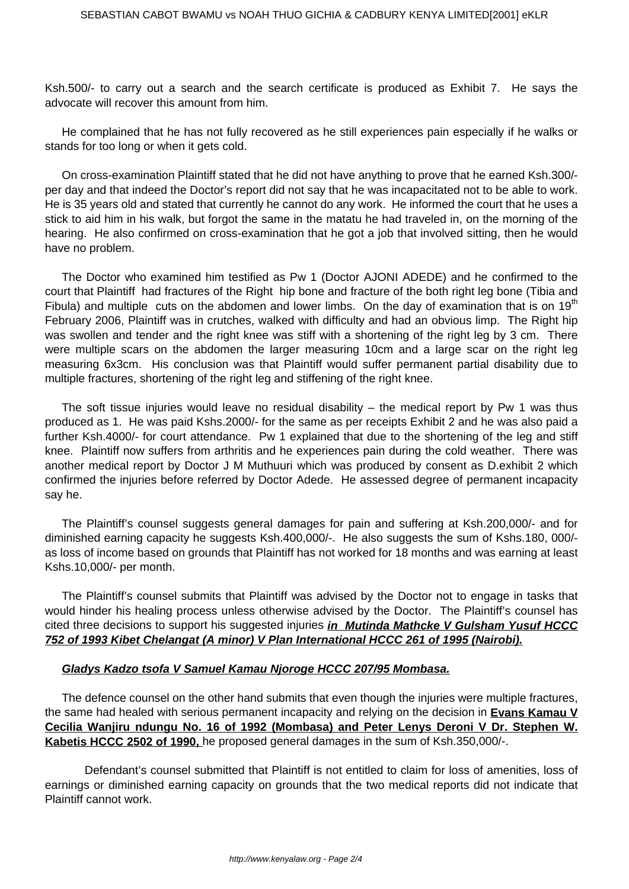Ksh.500/- to carry out a search and the search certificate is produced as Exhibit 7. He says the advocate will recover this amount from him.

He complained that he has not fully recovered as he still experiences pain especially if he walks or stands for too long or when it gets cold.

On cross-examination Plaintiff stated that he did not have anything to prove that he earned Ksh.300/ per day and that indeed the Doctor's report did not say that he was incapacitated not to be able to work. He is 35 years old and stated that currently he cannot do any work. He informed the court that he uses a stick to aid him in his walk, but forgot the same in the matatu he had traveled in, on the morning of the hearing. He also confirmed on cross-examination that he got a job that involved sitting, then he would have no problem.

The Doctor who examined him testified as Pw 1 (Doctor AJONI ADEDE) and he confirmed to the court that Plaintiff had fractures of the Right hip bone and fracture of the both right leg bone (Tibia and Fibula) and multiple cuts on the abdomen and lower limbs. On the day of examination that is on 19<sup>th</sup> February 2006, Plaintiff was in crutches, walked with difficulty and had an obvious limp. The Right hip was swollen and tender and the right knee was stiff with a shortening of the right leg by 3 cm. There were multiple scars on the abdomen the larger measuring 10cm and a large scar on the right leg measuring 6x3cm. His conclusion was that Plaintiff would suffer permanent partial disability due to multiple fractures, shortening of the right leg and stiffening of the right knee.

The soft tissue injuries would leave no residual disability  $-$  the medical report by Pw 1 was thus produced as 1. He was paid Kshs.2000/- for the same as per receipts Exhibit 2 and he was also paid a further Ksh.4000/- for court attendance. Pw 1 explained that due to the shortening of the leg and stiff knee. Plaintiff now suffers from arthritis and he experiences pain during the cold weather. There was another medical report by Doctor J M Muthuuri which was produced by consent as D.exhibit 2 which confirmed the injuries before referred by Doctor Adede. He assessed degree of permanent incapacity say he.

The Plaintiff's counsel suggests general damages for pain and suffering at Ksh.200,000/- and for diminished earning capacity he suggests Ksh.400,000/-. He also suggests the sum of Kshs.180, 000/ as loss of income based on grounds that Plaintiff has not worked for 18 months and was earning at least Kshs.10,000/- per month.

The Plaintiff's counsel submits that Plaintiff was advised by the Doctor not to engage in tasks that would hinder his healing process unless otherwise advised by the Doctor. The Plaintiff's counsel has cited three decisions to support his suggested injuries **in Mutinda Mathcke V Gulsham Yusuf HCCC 752 of 1993 Kibet Chelangat (A minor) V Plan International HCCC 261 of 1995 (Nairobi).**

#### **Gladys Kadzo tsofa V Samuel Kamau Njoroge HCCC 207/95 Mombasa.**

The defence counsel on the other hand submits that even though the injuries were multiple fractures, the same had healed with serious permanent incapacity and relying on the decision in **Evans Kamau V Cecilia Wanjiru ndungu No. 16 of 1992 (Mombasa) and Peter Lenys Deroni V Dr. Stephen W. Kabetis HCCC 2502 of 1990,** he proposed general damages in the sum of Ksh.350,000/-.

 Defendant's counsel submitted that Plaintiff is not entitled to claim for loss of amenities, loss of earnings or diminished earning capacity on grounds that the two medical reports did not indicate that Plaintiff cannot work.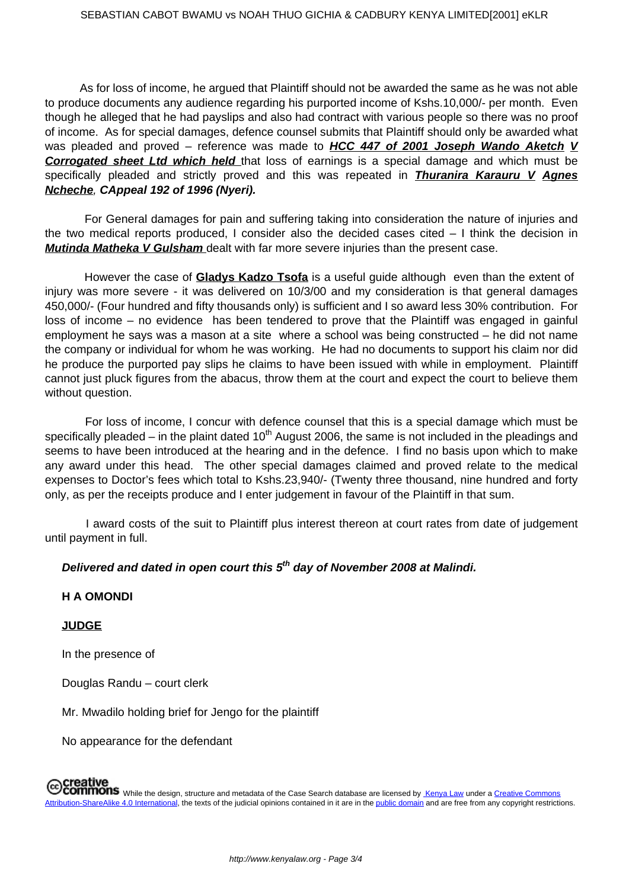As for loss of income, he argued that Plaintiff should not be awarded the same as he was not able to produce documents any audience regarding his purported income of Kshs.10,000/- per month. Even though he alleged that he had payslips and also had contract with various people so there was no proof of income. As for special damages, defence counsel submits that Plaintiff should only be awarded what was pleaded and proved – reference was made to **HCC 447 of 2001 Joseph Wando Aketch V Corrogated sheet Ltd which held** that loss of earnings is a special damage and which must be specifically pleaded and strictly proved and this was repeated in **Thuranira Karauru V Agnes Ncheche**, **CAppeal 192 of 1996 (Nyeri).** 

 For General damages for pain and suffering taking into consideration the nature of injuries and the two medical reports produced, I consider also the decided cases cited – I think the decision in **Mutinda Matheka V Gulsham** dealt with far more severe injuries than the present case.

 However the case of **Gladys Kadzo Tsofa** is a useful guide although even than the extent of injury was more severe - it was delivered on 10/3/00 and my consideration is that general damages 450,000/- (Four hundred and fifty thousands only) is sufficient and I so award less 30% contribution. For loss of income – no evidence has been tendered to prove that the Plaintiff was engaged in gainful employment he says was a mason at a site where a school was being constructed – he did not name the company or individual for whom he was working. He had no documents to support his claim nor did he produce the purported pay slips he claims to have been issued with while in employment. Plaintiff cannot just pluck figures from the abacus, throw them at the court and expect the court to believe them without question.

 For loss of income, I concur with defence counsel that this is a special damage which must be specifically pleaded – in the plaint dated  $10<sup>th</sup>$  August 2006, the same is not included in the pleadings and seems to have been introduced at the hearing and in the defence. I find no basis upon which to make any award under this head. The other special damages claimed and proved relate to the medical expenses to Doctor's fees which total to Kshs.23,940/- (Twenty three thousand, nine hundred and forty only, as per the receipts produce and I enter judgement in favour of the Plaintiff in that sum.

 I award costs of the suit to Plaintiff plus interest thereon at court rates from date of judgement until payment in full.

# **Delivered and dated in open court this 5th day of November 2008 at Malindi.**

#### **H A OMONDI**

#### **JUDGE**

In the presence of

Douglas Randu – court clerk

Mr. Mwadilo holding brief for Jengo for the plaintiff

No appearance for the defendant

# Creative<br>COMMONS While the design, structure and metadata of the Case Search database are licensed by Kenya Law under a Creative Commons<br>COMMONS While the design, structure and metadata of the Case Search database are lice Attribution-ShareAlike 4.0 International, the texts of the judicial opinions contained in it are in the public domain and are free from any copyright restrictions.